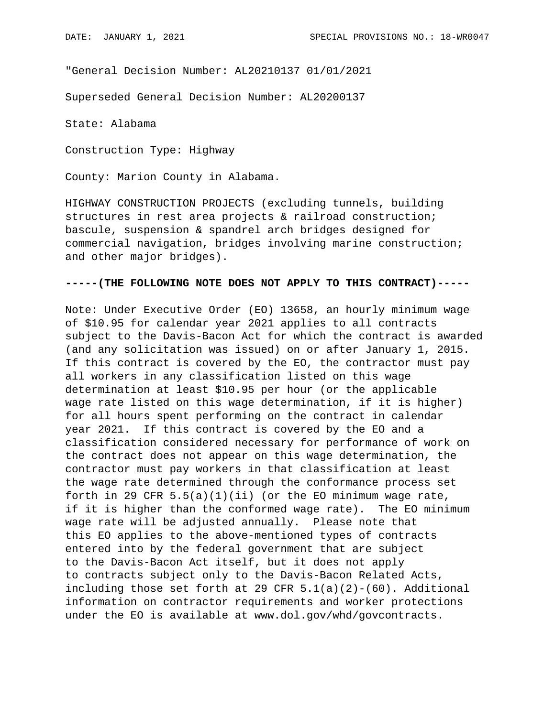"General Decision Number: AL20210137 01/01/2021

Superseded General Decision Number: AL20200137

State: Alabama

Construction Type: Highway

County: Marion County in Alabama.

HIGHWAY CONSTRUCTION PROJECTS (excluding tunnels, building structures in rest area projects & railroad construction; bascule, suspension & spandrel arch bridges designed for commercial navigation, bridges involving marine construction; and other major bridges).

## **-----(THE FOLLOWING NOTE DOES NOT APPLY TO THIS CONTRACT)-----**

Note: Under Executive Order (EO) 13658, an hourly minimum wage of \$10.95 for calendar year 2021 applies to all contracts subject to the Davis-Bacon Act for which the contract is awarded (and any solicitation was issued) on or after January 1, 2015. If this contract is covered by the EO, the contractor must pay all workers in any classification listed on this wage determination at least \$10.95 per hour (or the applicable wage rate listed on this wage determination, if it is higher) for all hours spent performing on the contract in calendar year 2021. If this contract is covered by the EO and a classification considered necessary for performance of work on the contract does not appear on this wage determination, the contractor must pay workers in that classification at least the wage rate determined through the conformance process set forth in 29 CFR  $5.5(a)(1)(ii)$  (or the EO minimum wage rate, if it is higher than the conformed wage rate). The EO minimum wage rate will be adjusted annually. Please note that this EO applies to the above-mentioned types of contracts entered into by the federal government that are subject to the Davis-Bacon Act itself, but it does not apply to contracts subject only to the Davis-Bacon Related Acts, including those set forth at 29 CFR  $5.1(a)(2)-(60)$ . Additional information on contractor requirements and worker protections under the EO is available at www.dol.gov/whd/govcontracts.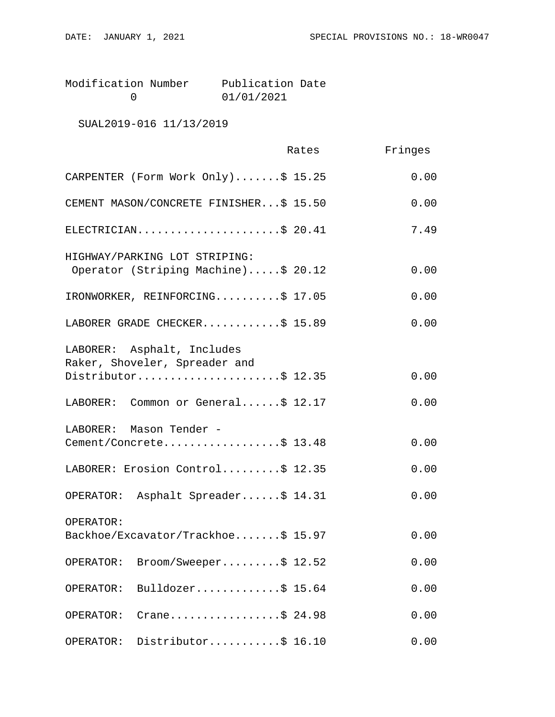| Modification Number | Publication Date |  |
|---------------------|------------------|--|
|                     | 01/01/2021       |  |

SUAL2019-016 11/13/2019

|                                                                      | Rates | Fringes |
|----------------------------------------------------------------------|-------|---------|
| CARPENTER (Form Work Only)\$ 15.25                                   |       | 0.00    |
| CEMENT MASON/CONCRETE FINISHER\$ 15.50                               |       | 0.00    |
| ELECTRICIAN\$ 20.41                                                  |       | 7.49    |
| HIGHWAY/PARKING LOT STRIPING:<br>Operator (Striping Machine)\$ 20.12 |       | 0.00    |
| IRONWORKER, REINFORCING\$ 17.05                                      |       | 0.00    |
| LABORER GRADE CHECKER\$ 15.89                                        |       | 0.00    |
| LABORER: Asphalt, Includes<br>Raker, Shoveler, Spreader and          |       |         |
| Distributor\$ 12.35                                                  |       | 0.00    |
| LABORER: Common or General\$ 12.17                                   |       | 0.00    |
| LABORER: Mason Tender -<br>Cement/Concrete\$ 13.48                   |       | 0.00    |
| LABORER: Erosion Control\$ 12.35                                     |       | 0.00    |
| OPERATOR: Asphalt Spreader\$ 14.31                                   |       | 0.00    |
| OPERATOR:                                                            |       |         |
| Backhoe/Excavator/Trackhoe\$ 15.97                                   |       | 0.00    |
| Broom/Sweeper\$ 12.52<br>OPERATOR:                                   |       | 0.00    |
| Bulldozer\$ 15.64<br>OPERATOR:                                       |       | 0.00    |
| Crane\$ 24.98<br>OPERATOR:                                           |       | 0.00    |
| Distributor\$ 16.10<br>OPERATOR:                                     |       | 0.00    |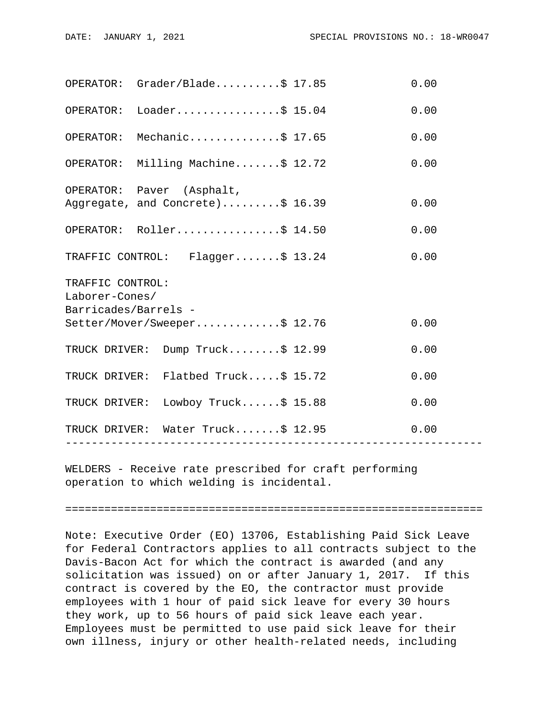| OPERATOR: Grader/Blade                                                                     |                  |  | 0.00 |  |  |
|--------------------------------------------------------------------------------------------|------------------|--|------|--|--|
| OPERATOR: Loader\$ 15.04                                                                   |                  |  | 0.00 |  |  |
| OPERATOR: Mechanic\$ 17.65                                                                 |                  |  | 0.00 |  |  |
| OPERATOR: Milling Machine\$ 12.72                                                          |                  |  | 0.00 |  |  |
| OPERATOR: Paver (Asphalt,<br>Aggregate, and Concrete)\$ 16.39                              |                  |  | 0.00 |  |  |
| OPERATOR: Roller\$ 14.50                                                                   |                  |  | 0.00 |  |  |
| TRAFFIC CONTROL: Flagger\$ 13.24                                                           |                  |  | 0.00 |  |  |
| TRAFFIC CONTROL:<br>Laborer-Cones/<br>Barricades/Barrels -<br>Setter/Mover/Sweeper\$ 12.76 |                  |  |      |  |  |
|                                                                                            |                  |  | 0.00 |  |  |
| TRUCK DRIVER: Dump Truck\$ 12.99                                                           |                  |  | 0.00 |  |  |
| TRUCK DRIVER: Flatbed Truck\$ 15.72                                                        |                  |  | 0.00 |  |  |
| TRUCK DRIVER: Lowboy Truck\$ 15.88                                                         |                  |  | 0.00 |  |  |
| TRUCK DRIVER: Water Truck\$ 12.95                                                          | ---------------- |  | 0.00 |  |  |
|                                                                                            |                  |  |      |  |  |

WELDERS - Receive rate prescribed for craft performing operation to which welding is incidental.

================================================================

Note: Executive Order (EO) 13706, Establishing Paid Sick Leave for Federal Contractors applies to all contracts subject to the Davis-Bacon Act for which the contract is awarded (and any solicitation was issued) on or after January 1, 2017. If this contract is covered by the EO, the contractor must provide employees with 1 hour of paid sick leave for every 30 hours they work, up to 56 hours of paid sick leave each year. Employees must be permitted to use paid sick leave for their own illness, injury or other health-related needs, including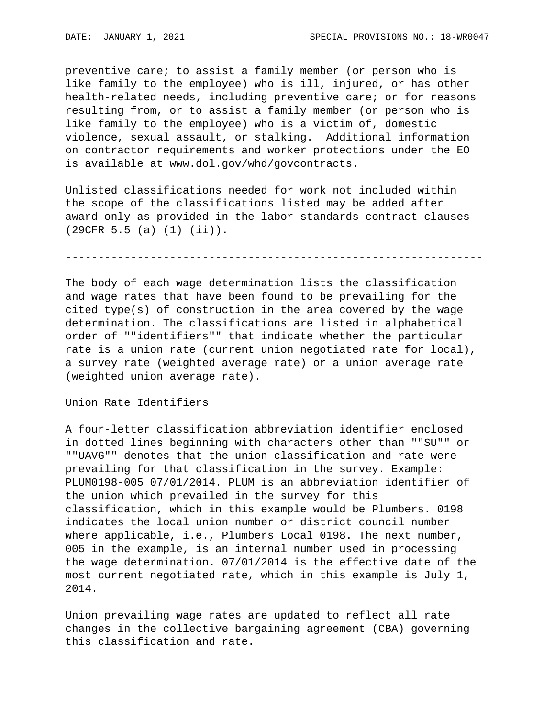preventive care; to assist a family member (or person who is like family to the employee) who is ill, injured, or has other health-related needs, including preventive care; or for reasons resulting from, or to assist a family member (or person who is like family to the employee) who is a victim of, domestic violence, sexual assault, or stalking. Additional information on contractor requirements and worker protections under the EO is available at www.dol.gov/whd/govcontracts.

Unlisted classifications needed for work not included within the scope of the classifications listed may be added after award only as provided in the labor standards contract clauses (29CFR 5.5 (a) (1) (ii)).

----------------------------------------------------------------

The body of each wage determination lists the classification and wage rates that have been found to be prevailing for the cited type(s) of construction in the area covered by the wage determination. The classifications are listed in alphabetical order of ""identifiers"" that indicate whether the particular rate is a union rate (current union negotiated rate for local), a survey rate (weighted average rate) or a union average rate (weighted union average rate).

Union Rate Identifiers

A four-letter classification abbreviation identifier enclosed in dotted lines beginning with characters other than ""SU"" or ""UAVG"" denotes that the union classification and rate were prevailing for that classification in the survey. Example: PLUM0198-005 07/01/2014. PLUM is an abbreviation identifier of the union which prevailed in the survey for this classification, which in this example would be Plumbers. 0198 indicates the local union number or district council number where applicable, i.e., Plumbers Local 0198. The next number, 005 in the example, is an internal number used in processing the wage determination. 07/01/2014 is the effective date of the most current negotiated rate, which in this example is July 1, 2014.

Union prevailing wage rates are updated to reflect all rate changes in the collective bargaining agreement (CBA) governing this classification and rate.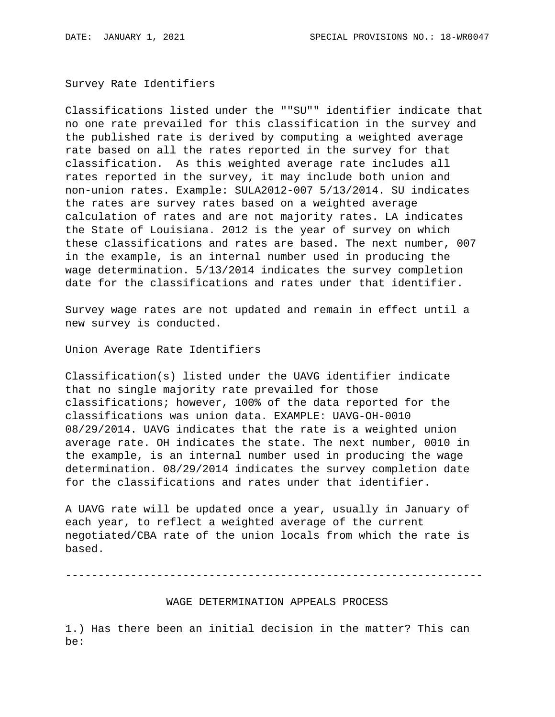Survey Rate Identifiers

Classifications listed under the ""SU"" identifier indicate that no one rate prevailed for this classification in the survey and the published rate is derived by computing a weighted average rate based on all the rates reported in the survey for that classification. As this weighted average rate includes all rates reported in the survey, it may include both union and non-union rates. Example: SULA2012-007 5/13/2014. SU indicates the rates are survey rates based on a weighted average calculation of rates and are not majority rates. LA indicates the State of Louisiana. 2012 is the year of survey on which these classifications and rates are based. The next number, 007 in the example, is an internal number used in producing the wage determination. 5/13/2014 indicates the survey completion date for the classifications and rates under that identifier.

Survey wage rates are not updated and remain in effect until a new survey is conducted.

Union Average Rate Identifiers

Classification(s) listed under the UAVG identifier indicate that no single majority rate prevailed for those classifications; however, 100% of the data reported for the classifications was union data. EXAMPLE: UAVG-OH-0010 08/29/2014. UAVG indicates that the rate is a weighted union average rate. OH indicates the state. The next number, 0010 in the example, is an internal number used in producing the wage determination. 08/29/2014 indicates the survey completion date for the classifications and rates under that identifier.

A UAVG rate will be updated once a year, usually in January of each year, to reflect a weighted average of the current negotiated/CBA rate of the union locals from which the rate is based.

----------------------------------------------------------------

WAGE DETERMINATION APPEALS PROCESS

1.) Has there been an initial decision in the matter? This can be: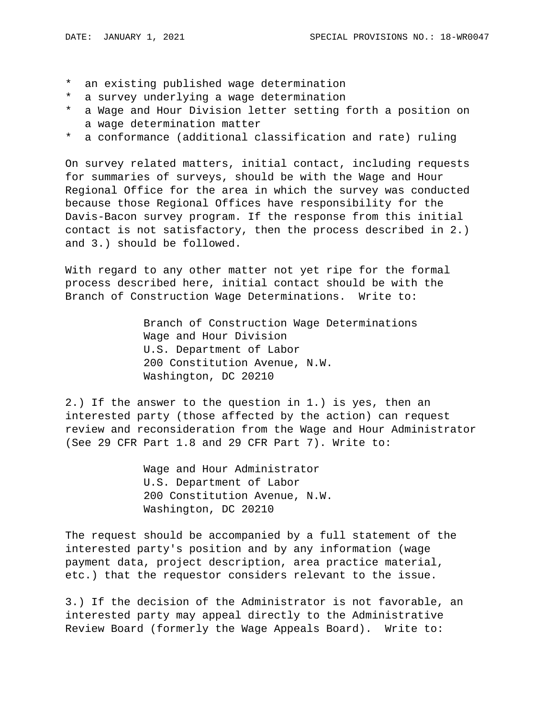- \* an existing published wage determination
- \* a survey underlying a wage determination
- \* a Wage and Hour Division letter setting forth a position on a wage determination matter
- \* a conformance (additional classification and rate) ruling

On survey related matters, initial contact, including requests for summaries of surveys, should be with the Wage and Hour Regional Office for the area in which the survey was conducted because those Regional Offices have responsibility for the Davis-Bacon survey program. If the response from this initial contact is not satisfactory, then the process described in 2.) and 3.) should be followed.

With regard to any other matter not yet ripe for the formal process described here, initial contact should be with the Branch of Construction Wage Determinations. Write to:

> Branch of Construction Wage Determinations Wage and Hour Division U.S. Department of Labor 200 Constitution Avenue, N.W. Washington, DC 20210

2.) If the answer to the question in 1.) is yes, then an interested party (those affected by the action) can request review and reconsideration from the Wage and Hour Administrator (See 29 CFR Part 1.8 and 29 CFR Part 7). Write to:

> Wage and Hour Administrator U.S. Department of Labor 200 Constitution Avenue, N.W. Washington, DC 20210

The request should be accompanied by a full statement of the interested party's position and by any information (wage payment data, project description, area practice material, etc.) that the requestor considers relevant to the issue.

3.) If the decision of the Administrator is not favorable, an interested party may appeal directly to the Administrative Review Board (formerly the Wage Appeals Board). Write to: